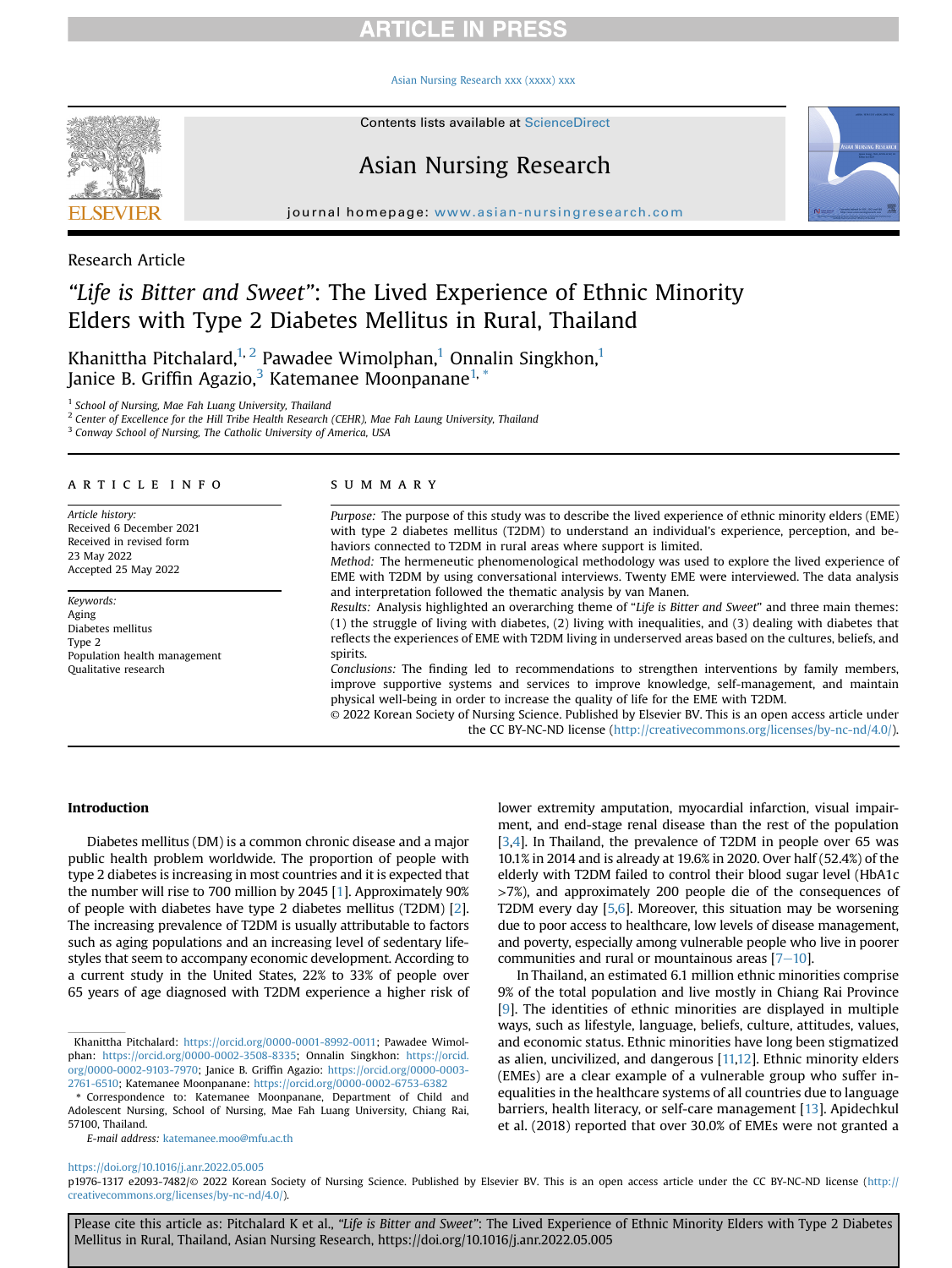### [Asian Nursing Research xxx \(xxxx\) xxx](https://doi.org/10.1016/j.anr.2022.05.005)



Contents lists available at ScienceDirect

## Asian Nursing Research



journal homepage: [www.asian-nursingresearch.com](http://www.asian-nursingresearch.com)

## Research Article

# "Life is Bitter and Sweet": The Lived Experience of Ethnic Minority Elders with Type 2 Diabetes Mellitus in Rural, Thailand

Khanittha Pitchalard, $1, 2$  $1, 2$  Pawadee Wimolphan,<sup>[1](#page-0-0)</sup> Onnalin Singkhon,<sup>1</sup> Janice B. Griffin Agazio,<sup>3</sup> Katemanee Moonpanane<sup>1,\*</sup>

<span id="page-0-0"></span><sup>1</sup> School of Nursing, Mae Fah Luang University, Thailand

<span id="page-0-1"></span> $2$  Center of Excellence for the Hill Tribe Health Research (CEHR), Mae Fah Laung University, Thailand

<span id="page-0-2"></span><sup>3</sup> Conway School of Nursing, The Catholic University of America, USA

## article info

Article history: Received 6 December 2021 Received in revised form 23 May 2022 Accepted 25 May 2022

Keywords: Aging Diabetes mellitus Type 2 Population health management Qualitative research

## summary

Purpose: The purpose of this study was to describe the lived experience of ethnic minority elders (EME) with type 2 diabetes mellitus (T2DM) to understand an individual's experience, perception, and behaviors connected to T2DM in rural areas where support is limited.

Method: The hermeneutic phenomenological methodology was used to explore the lived experience of EME with T2DM by using conversational interviews. Twenty EME were interviewed. The data analysis and interpretation followed the thematic analysis by van Manen.

Results: Analysis highlighted an overarching theme of "Life is Bitter and Sweet" and three main themes: (1) the struggle of living with diabetes, (2) living with inequalities, and (3) dealing with diabetes that reflects the experiences of EME with T2DM living in underserved areas based on the cultures, beliefs, and spirits.

Conclusions: The finding led to recommendations to strengthen interventions by family members, improve supportive systems and services to improve knowledge, self-management, and maintain physical well-being in order to increase the quality of life for the EME with T2DM.

© 2022 Korean Society of Nursing Science. Published by Elsevier BV. This is an open access article under the CC BY-NC-ND license [\(http://creativecommons.org/licenses/by-nc-nd/4.0/](http://creativecommons.org/licenses/by-nc-nd/4.0/)).

## Introduction

Diabetes mellitus (DM) is a common chronic disease and a major public health problem worldwide. The proportion of people with type 2 diabetes is increasing in most countries and it is expected that the number will rise to 700 million by 2045 [[1](#page-5-0)]. Approximately 90% of people with diabetes have type 2 diabetes mellitus (T2DM) [\[2\]](#page-5-1). The increasing prevalence of T2DM is usually attributable to factors such as aging populations and an increasing level of sedentary lifestyles that seem to accompany economic development. According to a current study in the United States, 22% to 33% of people over 65 years of age diagnosed with T2DM experience a higher risk of

E-mail address: [katemanee.moo@mfu.ac.th](mailto:katemanee.moo@mfu.ac.th)

lower extremity amputation, myocardial infarction, visual impairment, and end-stage renal disease than the rest of the population [\[3](#page-5-2),[4](#page-5-3)]. In Thailand, the prevalence of T2DM in people over 65 was 10.1% in 2014 and is already at 19.6% in 2020. Over half (52.4%) of the elderly with T2DM failed to control their blood sugar level (HbA1c >7%), and approximately 200 people die of the consequences of T2DM every day [\[5,](#page-5-4)[6](#page-5-5)]. Moreover, this situation may be worsening due to poor access to healthcare, low levels of disease management, and poverty, especially among vulnerable people who live in poorer communities and rural or mountainous areas  $[7-10]$  $[7-10]$  $[7-10]$ .

In Thailand, an estimated 6.1 million ethnic minorities comprise 9% of the total population and live mostly in Chiang Rai Province [\[9](#page-5-7)]. The identities of ethnic minorities are displayed in multiple ways, such as lifestyle, language, beliefs, culture, attitudes, values, and economic status. Ethnic minorities have long been stigmatized as alien, uncivilized, and dangerous [[11,](#page-5-8)[12](#page-5-9)]. Ethnic minority elders (EMEs) are a clear example of a vulnerable group who suffer inequalities in the healthcare systems of all countries due to language barriers, health literacy, or self-care management [[13\]](#page-5-10). Apidechkul et al. (2018) reported that over 30.0% of EMEs were not granted a

## <https://doi.org/10.1016/j.anr.2022.05.005>

p1976-1317 e2093-7482/© 2022 Korean Society of Nursing Science. Published by Elsevier BV. This is an open access article under the CC BY-NC-ND license ([http://](http://creativecommons.org/licenses/by-nc-nd/4.0/) [creativecommons.org/licenses/by-nc-nd/4.0/](http://creativecommons.org/licenses/by-nc-nd/4.0/)).

Khanittha Pitchalard: [https://orcid.org/0000-0001-8992-0011;](https://orcid.org/0000-0001-8992-0011) Pawadee Wimolphan: <https://orcid.org/0000-0002-3508-8335>; Onnalin Singkhon: [https://orcid.](https://orcid.org/0000-0002-9103-7970) [org/0000-0002-9103-7970;](https://orcid.org/0000-0002-9103-7970) Janice B. Griffin Agazio: [https://orcid.org/0000-0003-](https://orcid.org/0000-0003-2761-6510) [2761-6510](https://orcid.org/0000-0003-2761-6510); Katemanee Moonpanane: <https://orcid.org/0000-0002-6753-6382>

<sup>\*</sup> Correspondence to: Katemanee Moonpanane, Department of Child and Adolescent Nursing, School of Nursing, Mae Fah Luang University, Chiang Rai, 57100, Thailand.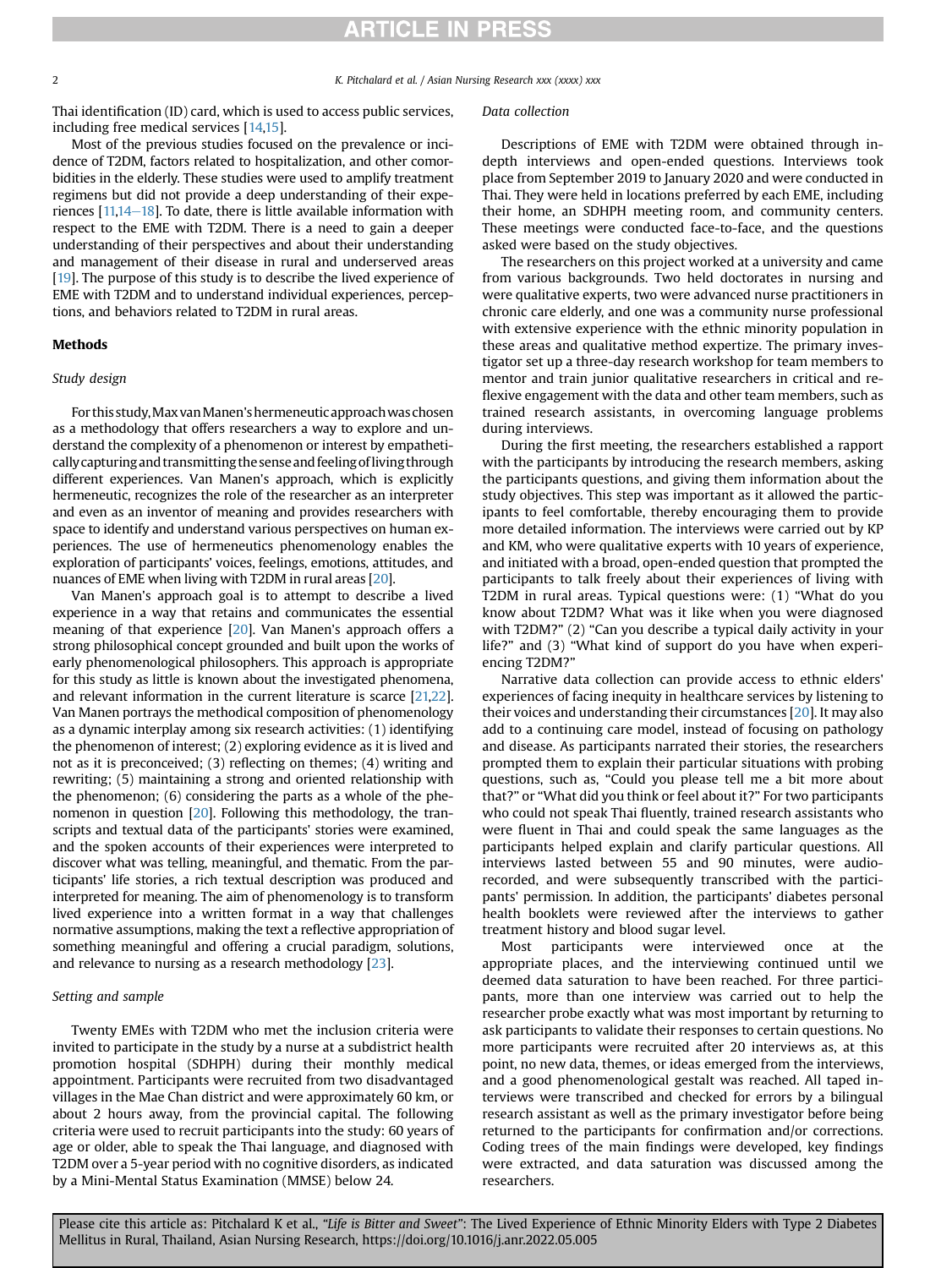2 K. Pitchalard et al. / Asian Nursing Research xxx (xxxx) xxx

Thai identification (ID) card, which is used to access public services, including free medical services [\[14](#page-5-11)[,15\]](#page-5-12).

Most of the previous studies focused on the prevalence or incidence of T2DM, factors related to hospitalization, and other comorbidities in the elderly. These studies were used to amplify treatment regimens but did not provide a deep understanding of their experiences  $[11,14-18]$  $[11,14-18]$  $[11,14-18]$  $[11,14-18]$ . To date, there is little available information with respect to the EME with T2DM. There is a need to gain a deeper understanding of their perspectives and about their understanding and management of their disease in rural and underserved areas [[19](#page-5-13)]. The purpose of this study is to describe the lived experience of EME with T2DM and to understand individual experiences, perceptions, and behaviors related to T2DM in rural areas.

### Methods

### Study design

For this study,Max vanManen'shermeneutic approachwaschosen as a methodology that offers researchers a way to explore and understand the complexity of a phenomenon or interest by empatheticallycapturing and transmitting thesense and feelingofliving through different experiences. Van Manen's approach, which is explicitly hermeneutic, recognizes the role of the researcher as an interpreter and even as an inventor of meaning and provides researchers with space to identify and understand various perspectives on human experiences. The use of hermeneutics phenomenology enables the exploration of participants' voices, feelings, emotions, attitudes, and nuances of EME when living with T2DM in rural areas [[20\]](#page-5-14).

Van Manen's approach goal is to attempt to describe a lived experience in a way that retains and communicates the essential meaning of that experience [[20](#page-5-14)]. Van Manen's approach offers a strong philosophical concept grounded and built upon the works of early phenomenological philosophers. This approach is appropriate for this study as little is known about the investigated phenomena, and relevant information in the current literature is scarce [[21,](#page-5-15)[22](#page-5-16)]. Van Manen portrays the methodical composition of phenomenology as a dynamic interplay among six research activities: (1) identifying the phenomenon of interest; (2) exploring evidence as it is lived and not as it is preconceived; (3) reflecting on themes; (4) writing and rewriting; (5) maintaining a strong and oriented relationship with the phenomenon; (6) considering the parts as a whole of the phenomenon in question [\[20](#page-5-14)]. Following this methodology, the transcripts and textual data of the participants' stories were examined, and the spoken accounts of their experiences were interpreted to discover what was telling, meaningful, and thematic. From the participants' life stories, a rich textual description was produced and interpreted for meaning. The aim of phenomenology is to transform lived experience into a written format in a way that challenges normative assumptions, making the text a reflective appropriation of something meaningful and offering a crucial paradigm, solutions, and relevance to nursing as a research methodology [\[23\]](#page-5-17).

### Setting and sample

Twenty EMEs with T2DM who met the inclusion criteria were invited to participate in the study by a nurse at a subdistrict health promotion hospital (SDHPH) during their monthly medical appointment. Participants were recruited from two disadvantaged villages in the Mae Chan district and were approximately 60 km, or about 2 hours away, from the provincial capital. The following criteria were used to recruit participants into the study: 60 years of age or older, able to speak the Thai language, and diagnosed with T2DM over a 5-year period with no cognitive disorders, as indicated by a Mini-Mental Status Examination (MMSE) below 24.

#### Data collection

Descriptions of EME with T2DM were obtained through indepth interviews and open-ended questions. Interviews took place from September 2019 to January 2020 and were conducted in Thai. They were held in locations preferred by each EME, including their home, an SDHPH meeting room, and community centers. These meetings were conducted face-to-face, and the questions asked were based on the study objectives.

The researchers on this project worked at a university and came from various backgrounds. Two held doctorates in nursing and were qualitative experts, two were advanced nurse practitioners in chronic care elderly, and one was a community nurse professional with extensive experience with the ethnic minority population in these areas and qualitative method expertize. The primary investigator set up a three-day research workshop for team members to mentor and train junior qualitative researchers in critical and reflexive engagement with the data and other team members, such as trained research assistants, in overcoming language problems during interviews.

During the first meeting, the researchers established a rapport with the participants by introducing the research members, asking the participants questions, and giving them information about the study objectives. This step was important as it allowed the participants to feel comfortable, thereby encouraging them to provide more detailed information. The interviews were carried out by KP and KM, who were qualitative experts with 10 years of experience, and initiated with a broad, open-ended question that prompted the participants to talk freely about their experiences of living with T2DM in rural areas. Typical questions were: (1) "What do you know about T2DM? What was it like when you were diagnosed with T2DM?" (2) "Can you describe a typical daily activity in your life?" and (3) "What kind of support do you have when experiencing T2DM?"

Narrative data collection can provide access to ethnic elders' experiences of facing inequity in healthcare services by listening to their voices and understanding their circumstances [\[20\]](#page-5-14). It may also add to a continuing care model, instead of focusing on pathology and disease. As participants narrated their stories, the researchers prompted them to explain their particular situations with probing questions, such as, "Could you please tell me a bit more about that?" or "What did you think or feel about it?" For two participants who could not speak Thai fluently, trained research assistants who were fluent in Thai and could speak the same languages as the participants helped explain and clarify particular questions. All interviews lasted between 55 and 90 minutes, were audiorecorded, and were subsequently transcribed with the participants' permission. In addition, the participants' diabetes personal health booklets were reviewed after the interviews to gather treatment history and blood sugar level.

Most participants were interviewed once at the appropriate places, and the interviewing continued until we deemed data saturation to have been reached. For three participants, more than one interview was carried out to help the researcher probe exactly what was most important by returning to ask participants to validate their responses to certain questions. No more participants were recruited after 20 interviews as, at this point, no new data, themes, or ideas emerged from the interviews, and a good phenomenological gestalt was reached. All taped interviews were transcribed and checked for errors by a bilingual research assistant as well as the primary investigator before being returned to the participants for confirmation and/or corrections. Coding trees of the main findings were developed, key findings were extracted, and data saturation was discussed among the researchers.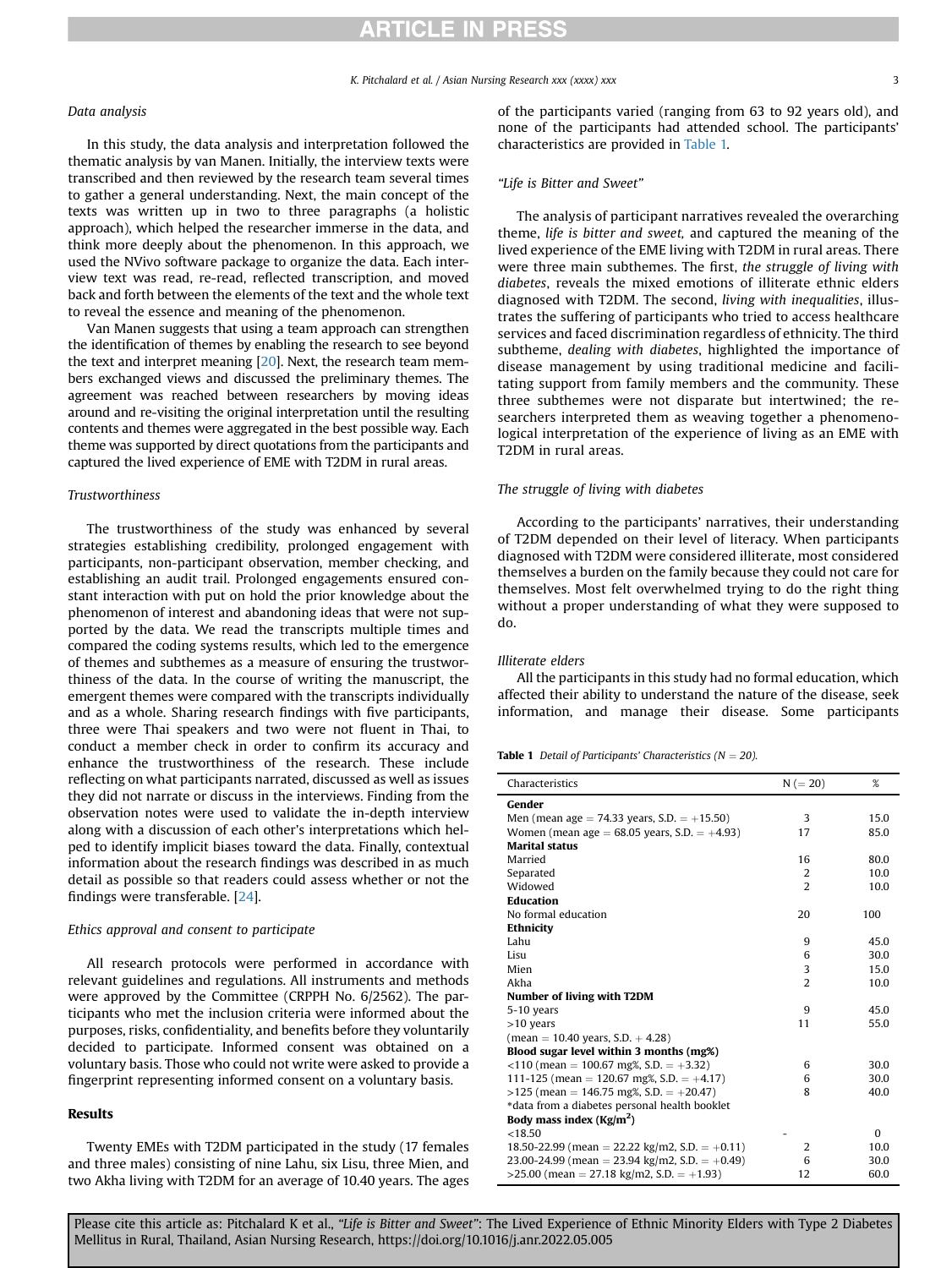K. Pitchalard et al. / Asian Nursing Research xxx (xxxx) xxx 3

### Data analysis

In this study, the data analysis and interpretation followed the thematic analysis by van Manen. Initially, the interview texts were transcribed and then reviewed by the research team several times to gather a general understanding. Next, the main concept of the texts was written up in two to three paragraphs (a holistic approach), which helped the researcher immerse in the data, and think more deeply about the phenomenon. In this approach, we used the NVivo software package to organize the data. Each interview text was read, re-read, reflected transcription, and moved back and forth between the elements of the text and the whole text to reveal the essence and meaning of the phenomenon.

Van Manen suggests that using a team approach can strengthen the identification of themes by enabling the research to see beyond the text and interpret meaning [\[20\]](#page-5-14). Next, the research team members exchanged views and discussed the preliminary themes. The agreement was reached between researchers by moving ideas around and re-visiting the original interpretation until the resulting contents and themes were aggregated in the best possible way. Each theme was supported by direct quotations from the participants and captured the lived experience of EME with T2DM in rural areas.

#### Trustworthiness

The trustworthiness of the study was enhanced by several strategies establishing credibility, prolonged engagement with participants, non-participant observation, member checking, and establishing an audit trail. Prolonged engagements ensured constant interaction with put on hold the prior knowledge about the phenomenon of interest and abandoning ideas that were not supported by the data. We read the transcripts multiple times and compared the coding systems results, which led to the emergence of themes and subthemes as a measure of ensuring the trustworthiness of the data. In the course of writing the manuscript, the emergent themes were compared with the transcripts individually and as a whole. Sharing research findings with five participants, three were Thai speakers and two were not fluent in Thai, to conduct a member check in order to confirm its accuracy and enhance the trustworthiness of the research. These include reflecting on what participants narrated, discussed as well as issues they did not narrate or discuss in the interviews. Finding from the observation notes were used to validate the in-depth interview along with a discussion of each other's interpretations which helped to identify implicit biases toward the data. Finally, contextual information about the research findings was described in as much detail as possible so that readers could assess whether or not the findings were transferable. [\[24\]](#page-5-18).

### Ethics approval and consent to participate

All research protocols were performed in accordance with relevant guidelines and regulations. All instruments and methods were approved by the Committee (CRPPH No. 6/2562). The participants who met the inclusion criteria were informed about the purposes, risks, confidentiality, and benefits before they voluntarily decided to participate. Informed consent was obtained on a voluntary basis. Those who could not write were asked to provide a fingerprint representing informed consent on a voluntary basis.

### Results

Twenty EMEs with T2DM participated in the study (17 females and three males) consisting of nine Lahu, six Lisu, three Mien, and two Akha living with T2DM for an average of 10.40 years. The ages

of the participants varied (ranging from 63 to 92 years old), and none of the participants had attended school. The participants' characteristics are provided in [Table 1.](#page-2-0)

### "Life is Bitter and Sweet"

The analysis of participant narratives revealed the overarching theme, life is bitter and sweet, and captured the meaning of the lived experience of the EME living with T2DM in rural areas. There were three main subthemes. The first, the struggle of living with diabetes, reveals the mixed emotions of illiterate ethnic elders diagnosed with T2DM. The second, living with inequalities, illustrates the suffering of participants who tried to access healthcare services and faced discrimination regardless of ethnicity. The third subtheme, dealing with diabetes, highlighted the importance of disease management by using traditional medicine and facilitating support from family members and the community. These three subthemes were not disparate but intertwined; the researchers interpreted them as weaving together a phenomenological interpretation of the experience of living as an EME with T2DM in rural areas.

#### The struggle of living with diabetes

According to the participants' narratives, their understanding of T2DM depended on their level of literacy. When participants diagnosed with T2DM were considered illiterate, most considered themselves a burden on the family because they could not care for themselves. Most felt overwhelmed trying to do the right thing without a proper understanding of what they were supposed to do.

#### Illiterate elders

All the participants in this study had no formal education, which affected their ability to understand the nature of the disease, seek information, and manage their disease. Some participants

<span id="page-2-0"></span>**Table 1** Detail of Participants' Characteristics ( $N = 20$ ).

| Characteristics                                    | $N (= 20)$     | %        |
|----------------------------------------------------|----------------|----------|
| Gender                                             |                |          |
| Men (mean age = 74.33 years, S.D. = $+15.50$ )     | 3              | 15.0     |
| Women (mean age = $68.05$ years, S.D. = $+4.93$ )  | 17             | 85.0     |
| <b>Marital status</b>                              |                |          |
| Married                                            | 16             | 80.0     |
| Separated                                          | 2              | 10.0     |
| Widowed                                            | $\overline{2}$ | 10.0     |
| <b>Education</b>                                   |                |          |
| No formal education                                | 20             | 100      |
| Ethnicity                                          |                |          |
| Lahu                                               | 9              | 45.0     |
| Lisu                                               | 6              | 30.0     |
| Mien                                               | 3              | 15.0     |
| Akha                                               | $\overline{2}$ | 10.0     |
| <b>Number of living with T2DM</b>                  |                |          |
| 5-10 years                                         | 9              | 45.0     |
| $>10$ years                                        | 11             | 55.0     |
| $(\text{mean} = 10.40 \text{ years}, S.D. + 4.28)$ |                |          |
| Blood sugar level within 3 months (mg%)            |                |          |
| $<110$ (mean = 100.67 mg%, S.D. = +3.32)           | 6              | 30.0     |
| 111-125 (mean = 120.67 mg%, S.D. = $+4.17$ )       | 6              | 30.0     |
| $>125$ (mean = 146.75 mg%, S.D. = +20.47)          | 8              | 40.0     |
| *data from a diabetes personal health booklet      |                |          |
| Body mass index $(Kg/m2)$                          |                |          |
| < 18.50                                            |                | $\Omega$ |
| 18.50-22.99 (mean = 22.22 kg/m2, S.D. = $+0.11$ )  | 2              | 10.0     |
| 23.00-24.99 (mean = 23.94 kg/m2, S.D. = $+0.49$ )  | 6              | 30.0     |
| $>$ 25.00 (mean = 27.18 kg/m2, S.D. = +1.93)       | 12             | 60.0     |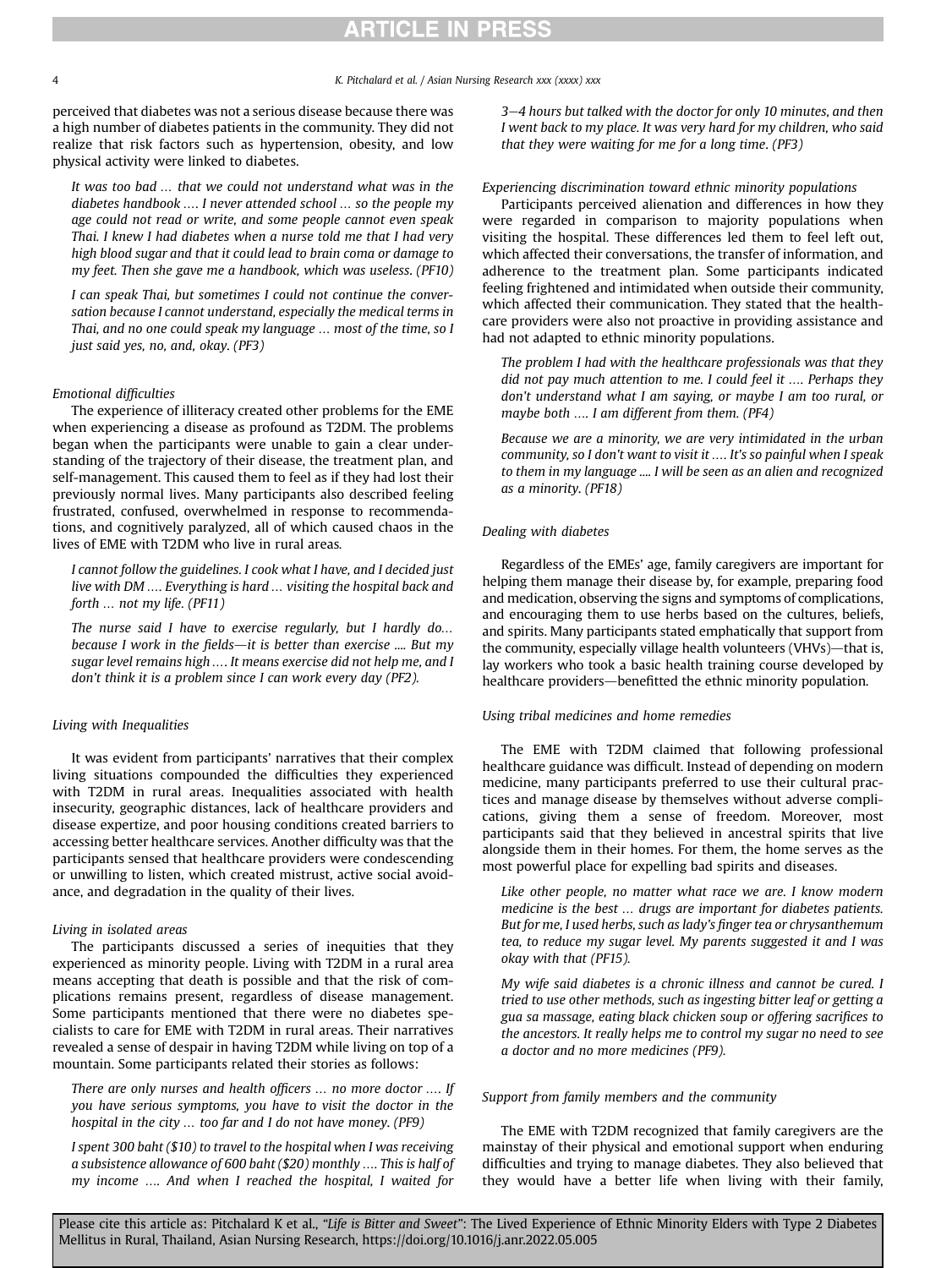perceived that diabetes was not a serious disease because there was a high number of diabetes patients in the community. They did not realize that risk factors such as hypertension, obesity, and low physical activity were linked to diabetes.

It was too bad … that we could not understand what was in the diabetes handbook …. I never attended school … so the people my age could not read or write, and some people cannot even speak Thai. I knew I had diabetes when a nurse told me that I had very high blood sugar and that it could lead to brain coma or damage to my feet. Then she gave me a handbook, which was useless. (PF10)

I can speak Thai, but sometimes I could not continue the conversation because I cannot understand, especially the medical terms in Thai, and no one could speak my language … most of the time, so I just said yes, no, and, okay. (PF3)

## Emotional difficulties

The experience of illiteracy created other problems for the EME when experiencing a disease as profound as T2DM. The problems began when the participants were unable to gain a clear understanding of the trajectory of their disease, the treatment plan, and self-management. This caused them to feel as if they had lost their previously normal lives. Many participants also described feeling frustrated, confused, overwhelmed in response to recommendations, and cognitively paralyzed, all of which caused chaos in the lives of EME with T2DM who live in rural areas.

I cannot follow the guidelines. I cook what I have, and I decided just live with DM …. Everything is hard … visiting the hospital back and forth … not my life. (PF11)

The nurse said I have to exercise regularly, but I hardly do… because I work in the fields-it is better than exercise  $\ldots$ . But my sugar level remains high …. It means exercise did not help me, and I don't think it is a problem since I can work every day (PF2).

### Living with Inequalities

It was evident from participants' narratives that their complex living situations compounded the difficulties they experienced with T2DM in rural areas. Inequalities associated with health insecurity, geographic distances, lack of healthcare providers and disease expertize, and poor housing conditions created barriers to accessing better healthcare services. Another difficulty was that the participants sensed that healthcare providers were condescending or unwilling to listen, which created mistrust, active social avoidance, and degradation in the quality of their lives.

### Living in isolated areas

The participants discussed a series of inequities that they experienced as minority people. Living with T2DM in a rural area means accepting that death is possible and that the risk of complications remains present, regardless of disease management. Some participants mentioned that there were no diabetes specialists to care for EME with T2DM in rural areas. Their narratives revealed a sense of despair in having T2DM while living on top of a mountain. Some participants related their stories as follows:

There are only nurses and health officers … no more doctor …. If you have serious symptoms, you have to visit the doctor in the hospital in the city … too far and I do not have money. (PF9)

I spent 300 baht (\$10) to travel to the hospital when I was receiving a subsistence allowance of 600 baht (\$20) monthly …. This is half of my income …. And when I reached the hospital, I waited for 3-4 hours but talked with the doctor for only 10 minutes, and then I went back to my place. It was very hard for my children, who said that they were waiting for me for a long time. (PF3)

### Experiencing discrimination toward ethnic minority populations

Participants perceived alienation and differences in how they were regarded in comparison to majority populations when visiting the hospital. These differences led them to feel left out, which affected their conversations, the transfer of information, and adherence to the treatment plan. Some participants indicated feeling frightened and intimidated when outside their community, which affected their communication. They stated that the healthcare providers were also not proactive in providing assistance and had not adapted to ethnic minority populations.

The problem I had with the healthcare professionals was that they did not pay much attention to me. I could feel it …. Perhaps they don't understand what I am saying, or maybe I am too rural, or maybe both …. I am different from them. (PF4)

Because we are a minority, we are very intimidated in the urban community, so I don't want to visit it …. It's so painful when I speak to them in my language .... I will be seen as an alien and recognized as a minority. (PF18)

### Dealing with diabetes

Regardless of the EMEs' age, family caregivers are important for helping them manage their disease by, for example, preparing food and medication, observing the signs and symptoms of complications, and encouraging them to use herbs based on the cultures, beliefs, and spirits. Many participants stated emphatically that support from the community, especially village health volunteers (VHVs)-that is, lay workers who took a basic health training course developed by healthcare providers—benefitted the ethnic minority population.

### Using tribal medicines and home remedies

The EME with T2DM claimed that following professional healthcare guidance was difficult. Instead of depending on modern medicine, many participants preferred to use their cultural practices and manage disease by themselves without adverse complications, giving them a sense of freedom. Moreover, most participants said that they believed in ancestral spirits that live alongside them in their homes. For them, the home serves as the most powerful place for expelling bad spirits and diseases.

Like other people, no matter what race we are. I know modern medicine is the best … drugs are important for diabetes patients. But for me, I used herbs, such as lady's finger tea or chrysanthemum tea, to reduce my sugar level. My parents suggested it and I was okay with that (PF15).

My wife said diabetes is a chronic illness and cannot be cured. I tried to use other methods, such as ingesting bitter leaf or getting a gua sa massage, eating black chicken soup or offering sacrifices to the ancestors. It really helps me to control my sugar no need to see a doctor and no more medicines (PF9).

### Support from family members and the community

The EME with T2DM recognized that family caregivers are the mainstay of their physical and emotional support when enduring difficulties and trying to manage diabetes. They also believed that they would have a better life when living with their family,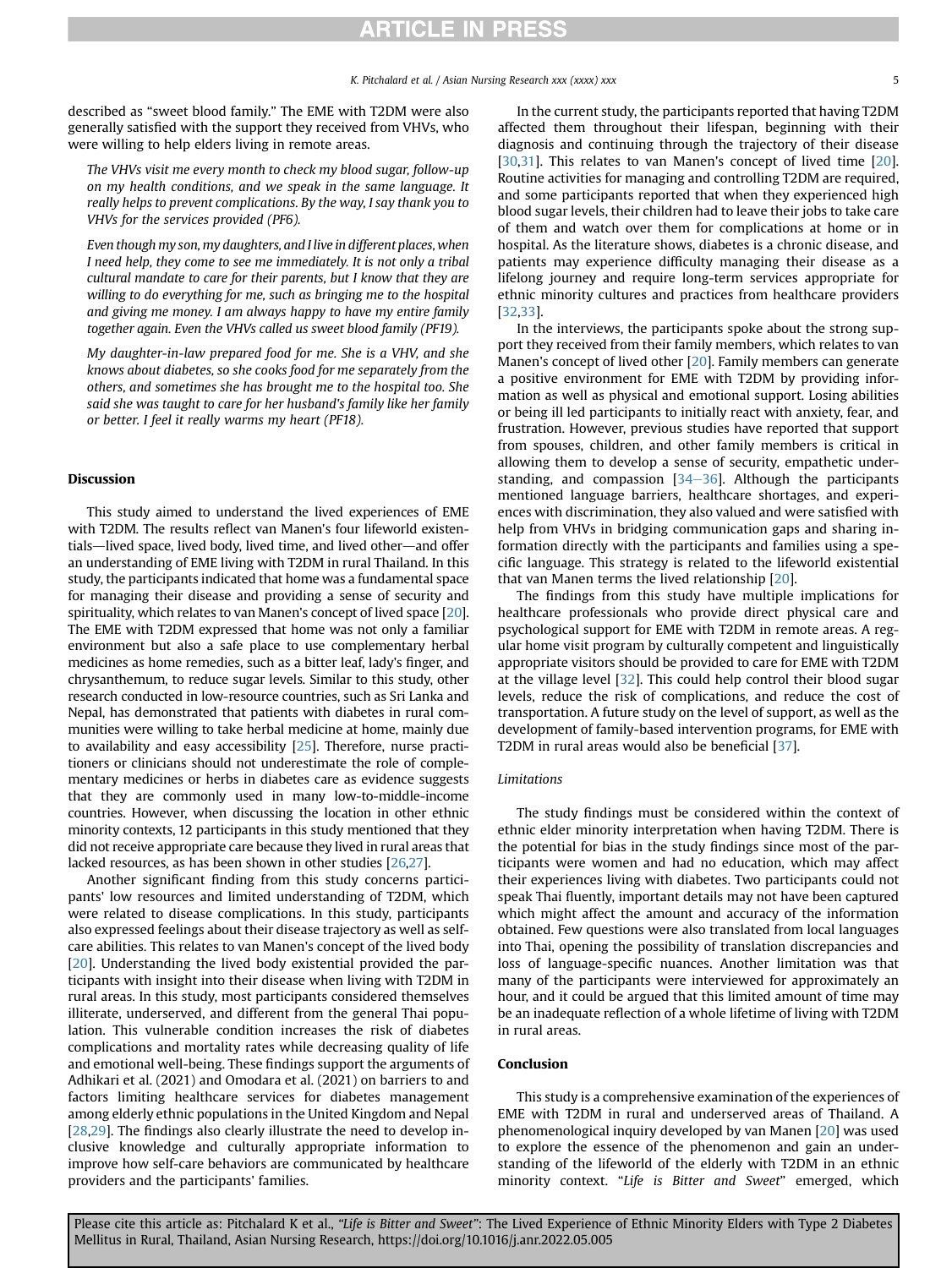described as "sweet blood family." The EME with T2DM were also generally satisfied with the support they received from VHVs, who were willing to help elders living in remote areas.

The VHVs visit me every month to check my blood sugar, follow-up on my health conditions, and we speak in the same language. It really helps to prevent complications. By the way, I say thank you to VHVs for the services provided (PF6).

Even though my son, my daughters, and I live in different places, when I need help, they come to see me immediately. It is not only a tribal cultural mandate to care for their parents, but I know that they are willing to do everything for me, such as bringing me to the hospital and giving me money. I am always happy to have my entire family together again. Even the VHVs called us sweet blood family (PF19).

My daughter-in-law prepared food for me. She is a VHV, and she knows about diabetes, so she cooks food for me separately from the others, and sometimes she has brought me to the hospital too. She said she was taught to care for her husband's family like her family or better. I feel it really warms my heart (PF18).

### Discussion

This study aimed to understand the lived experiences of EME with T2DM. The results reflect van Manen's four lifeworld existentials-lived space, lived body, lived time, and lived other-and offer an understanding of EME living with T2DM in rural Thailand. In this study, the participants indicated that home was a fundamental space for managing their disease and providing a sense of security and spirituality, which relates to van Manen's concept of lived space [[20\]](#page-5-14). The EME with T2DM expressed that home was not only a familiar environment but also a safe place to use complementary herbal medicines as home remedies, such as a bitter leaf, lady's finger, and chrysanthemum, to reduce sugar levels. Similar to this study, other research conducted in low-resource countries, such as Sri Lanka and Nepal, has demonstrated that patients with diabetes in rural communities were willing to take herbal medicine at home, mainly due to availability and easy accessibility [[25\]](#page-5-19). Therefore, nurse practitioners or clinicians should not underestimate the role of complementary medicines or herbs in diabetes care as evidence suggests that they are commonly used in many low-to-middle-income countries. However, when discussing the location in other ethnic minority contexts, 12 participants in this study mentioned that they did not receive appropriate care because they lived in rural areas that lacked resources, as has been shown in other studies [[26,](#page-5-20)[27\]](#page-5-21).

Another significant finding from this study concerns participants' low resources and limited understanding of T2DM, which were related to disease complications. In this study, participants also expressed feelings about their disease trajectory as well as selfcare abilities. This relates to van Manen's concept of the lived body [\[20\]](#page-5-14). Understanding the lived body existential provided the participants with insight into their disease when living with T2DM in rural areas. In this study, most participants considered themselves illiterate, underserved, and different from the general Thai population. This vulnerable condition increases the risk of diabetes complications and mortality rates while decreasing quality of life and emotional well-being. These findings support the arguments of Adhikari et al. (2021) and Omodara et al. (2021) on barriers to and factors limiting healthcare services for diabetes management among elderly ethnic populations in the United Kingdom and Nepal [\[28,](#page-5-22)[29](#page-5-23)]. The findings also clearly illustrate the need to develop inclusive knowledge and culturally appropriate information to improve how self-care behaviors are communicated by healthcare providers and the participants' families.

In the current study, the participants reported that having T2DM affected them throughout their lifespan, beginning with their diagnosis and continuing through the trajectory of their disease [\[30,](#page-5-24)[31\]](#page-6-0). This relates to van Manen's concept of lived time [\[20\]](#page-5-14). Routine activities for managing and controlling T2DM are required, and some participants reported that when they experienced high blood sugar levels, their children had to leave their jobs to take care of them and watch over them for complications at home or in hospital. As the literature shows, diabetes is a chronic disease, and patients may experience difficulty managing their disease as a lifelong journey and require long-term services appropriate for ethnic minority cultures and practices from healthcare providers [\[32,](#page-6-1)[33](#page-6-2)].

In the interviews, the participants spoke about the strong support they received from their family members, which relates to van Manen's concept of lived other [[20](#page-5-14)]. Family members can generate a positive environment for EME with T2DM by providing information as well as physical and emotional support. Losing abilities or being ill led participants to initially react with anxiety, fear, and frustration. However, previous studies have reported that support from spouses, children, and other family members is critical in allowing them to develop a sense of security, empathetic understanding, and compassion  $[34-36]$  $[34-36]$  $[34-36]$  $[34-36]$ . Although the participants mentioned language barriers, healthcare shortages, and experiences with discrimination, they also valued and were satisfied with help from VHVs in bridging communication gaps and sharing information directly with the participants and families using a specific language. This strategy is related to the lifeworld existential that van Manen terms the lived relationship [[20](#page-5-14)].

The findings from this study have multiple implications for healthcare professionals who provide direct physical care and psychological support for EME with T2DM in remote areas. A regular home visit program by culturally competent and linguistically appropriate visitors should be provided to care for EME with T2DM at the village level [\[32\]](#page-6-1). This could help control their blood sugar levels, reduce the risk of complications, and reduce the cost of transportation. A future study on the level of support, as well as the development of family-based intervention programs, for EME with T2DM in rural areas would also be beneficial [[37\]](#page-6-4).

### **Limitations**

The study findings must be considered within the context of ethnic elder minority interpretation when having T2DM. There is the potential for bias in the study findings since most of the participants were women and had no education, which may affect their experiences living with diabetes. Two participants could not speak Thai fluently, important details may not have been captured which might affect the amount and accuracy of the information obtained. Few questions were also translated from local languages into Thai, opening the possibility of translation discrepancies and loss of language-specific nuances. Another limitation was that many of the participants were interviewed for approximately an hour, and it could be argued that this limited amount of time may be an inadequate reflection of a whole lifetime of living with T2DM in rural areas.

### Conclusion

This study is a comprehensive examination of the experiences of EME with T2DM in rural and underserved areas of Thailand. A phenomenological inquiry developed by van Manen [\[20\]](#page-5-14) was used to explore the essence of the phenomenon and gain an understanding of the lifeworld of the elderly with T2DM in an ethnic minority context. "Life is Bitter and Sweet" emerged, which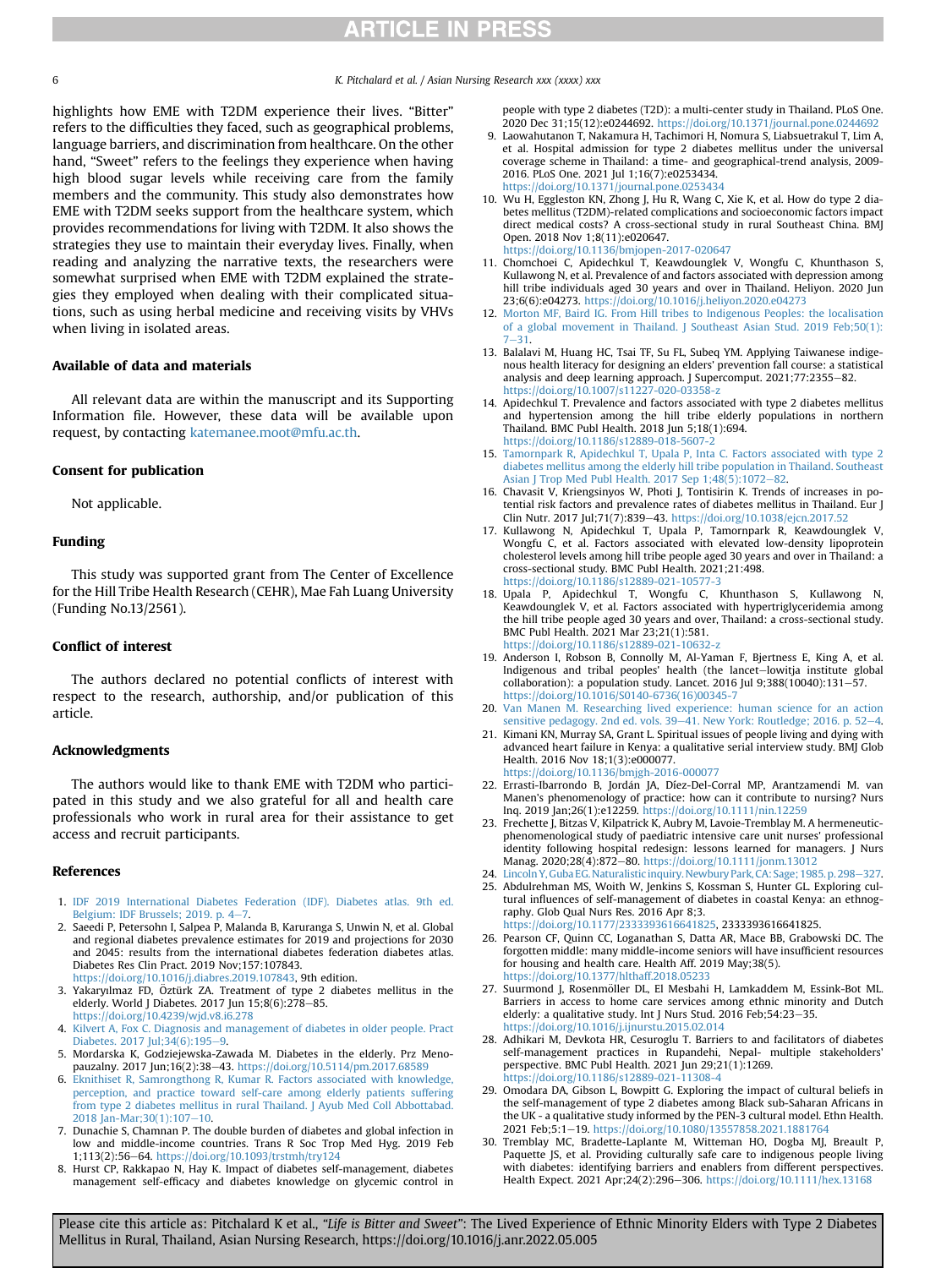6 K. Pitchalard et al. / Asian Nursing Research xxx (xxxx) xxx

highlights how EME with T2DM experience their lives. "Bitter" refers to the difficulties they faced, such as geographical problems, language barriers, and discrimination from healthcare. On the other hand, "Sweet" refers to the feelings they experience when having high blood sugar levels while receiving care from the family members and the community. This study also demonstrates how EME with T2DM seeks support from the healthcare system, which provides recommendations for living with T2DM. It also shows the strategies they use to maintain their everyday lives. Finally, when reading and analyzing the narrative texts, the researchers were somewhat surprised when EME with T2DM explained the strategies they employed when dealing with their complicated situations, such as using herbal medicine and receiving visits by VHVs when living in isolated areas.

### Available of data and materials

All relevant data are within the manuscript and its Supporting Information file. However, these data will be available upon request, by contacting [katemanee.moot@mfu.ac.th.](mailto:katemanee.moot@mfu.ac.th)

### Consent for publication

Not applicable.

### Funding

This study was supported grant from The Center of Excellence for the Hill Tribe Health Research (CEHR), Mae Fah Luang University (Funding No.13/2561).

## Conflict of interest

The authors declared no potential conflicts of interest with respect to the research, authorship, and/or publication of this article.

### Acknowledgments

The authors would like to thank EME with T2DM who participated in this study and we also grateful for all and health care professionals who work in rural area for their assistance to get access and recruit participants.

### <span id="page-5-0"></span>References

- <span id="page-5-1"></span>1. [IDF 2019 International Diabetes Federation \(IDF\). Diabetes atlas. 9th ed.](http://refhub.elsevier.com/S1976-1317(22)00030-5/sref1) Belgium: IDF Brussels: 2019. p. 4-[7](http://refhub.elsevier.com/S1976-1317(22)00030-5/sref1).
- 2. Saeedi P, Petersohn I, Salpea P, Malanda B, Karuranga S, Unwin N, et al. Global and regional diabetes prevalence estimates for 2019 and projections for 2030 and 2045: results from the international diabetes federation diabetes atlas. Diabetes Res Clin Pract. 2019 Nov;157:107843.
- <span id="page-5-2"></span>[https://doi.org/10.1016/j.diabres.2019.107843,](https://doi.org/10.1016/j.diabres.2019.107843) 9th edition.
- <span id="page-5-3"></span>3. Yakaryılmaz FD, Öztürk ZA. Treatment of type 2 diabetes mellitus in the elderly. World J Diabetes. 2017 Jun  $15;8(6):278-85$ . <https://doi.org/10.4239/wjd.v8.i6.278>
- <span id="page-5-4"></span>4. [Kilvert A, Fox C. Diagnosis and management of diabetes in older people. Pract](http://refhub.elsevier.com/S1976-1317(22)00030-5/sref4) [Diabetes. 2017 Jul;34\(6\):195](http://refhub.elsevier.com/S1976-1317(22)00030-5/sref4)-[9](http://refhub.elsevier.com/S1976-1317(22)00030-5/sref4).
- <span id="page-5-5"></span>5. Mordarska K, Godziejewska-Zawada M. Diabetes in the elderly. Prz Menopauzalny. 2017 Jun;16(2):38-43. <https://doi.org/10.5114/pm.2017.68589>
- <span id="page-5-6"></span>6. [Eknithiset R, Samrongthong R, Kumar R. Factors associated with knowledge,](http://refhub.elsevier.com/S1976-1317(22)00030-5/sref6) [perception, and practice toward self-care among elderly patients suffering](http://refhub.elsevier.com/S1976-1317(22)00030-5/sref6) [from type 2 diabetes mellitus in rural Thailand. J Ayub Med Coll Abbottabad.](http://refhub.elsevier.com/S1976-1317(22)00030-5/sref6) 2018 Jan-Mar; 30(1): 107-[10.](http://refhub.elsevier.com/S1976-1317(22)00030-5/sref6)
- 7. Dunachie S, Chamnan P. The double burden of diabetes and global infection in low and middle-income countries. Trans R Soc Trop Med Hyg. 2019 Feb 1;113(2):56-64. <https://doi.org/10.1093/trstmh/try124>
- 8. Hurst CP, Rakkapao N, Hay K. Impact of diabetes self-management, diabetes management self-efficacy and diabetes knowledge on glycemic control in

people with type 2 diabetes (T2D): a multi-center study in Thailand. PLoS One. 2020 Dec 31;15(12):e0244692. <https://doi.org/10.1371/journal.pone.0244692>

- <span id="page-5-7"></span>9. Laowahutanon T, Nakamura H, Tachimori H, Nomura S, Liabsuetrakul T, Lim A, et al. Hospital admission for type 2 diabetes mellitus under the universal coverage scheme in Thailand: a time- and geographical-trend analysis, 2009- 2016. PLoS One. 2021 Jul 1;16(7):e0253434. <https://doi.org/10.1371/journal.pone.0253434>
- 10. Wu H, Eggleston KN, Zhong J, Hu R, Wang C, Xie K, et al. How do type 2 diabetes mellitus (T2DM)-related complications and socioeconomic factors impact direct medical costs? A cross-sectional study in rural Southeast China. BMJ Open. 2018 Nov 1;8(11):e020647. <https://doi.org/10.1136/bmjopen-2017-020647>
- <span id="page-5-8"></span>11. Chomchoei C, Apidechkul T, Keawdounglek V, Wongfu C, Khunthason S, Kullawong N, et al. Prevalence of and factors associated with depression among hill tribe individuals aged 30 years and over in Thailand. Heliyon. 2020 Jun 23;6(6):e04273. <https://doi.org/10.1016/j.heliyon.2020.e04273>
- <span id="page-5-9"></span>12. [Morton MF, Baird IG. From Hill tribes to Indigenous Peoples: the localisation](http://refhub.elsevier.com/S1976-1317(22)00030-5/sref12) [of a global movement in Thailand. J Southeast Asian Stud. 2019 Feb;50\(1\):](http://refhub.elsevier.com/S1976-1317(22)00030-5/sref12)  $-31.$  $-31.$  $-31.$
- <span id="page-5-10"></span>13. Balalavi M, Huang HC, Tsai TF, Su FL, Subeq YM. Applying Taiwanese indigenous health literacy for designing an elders' prevention fall course: a statistical analysis and deep learning approach. J Supercomput. 2021;77:2355-82. [https://doi.org/10.1007/s11227-020-03358-z](https://doi.org/10.1007/s11227-020-<?thyc=10?>03358-z<?thyc?>)
- <span id="page-5-11"></span>14. Apidechkul T. Prevalence and factors associated with type 2 diabetes mellitus and hypertension among the hill tribe elderly populations in northern Thailand. BMC Publ Health. 2018 Jun 5;18(1):694. <https://doi.org/10.1186/s12889-018-5607-2>
- <span id="page-5-12"></span>15. [Tamornpark R, Apidechkul T, Upala P, Inta C. Factors associated with type 2](http://refhub.elsevier.com/S1976-1317(22)00030-5/sref15) [diabetes mellitus among the elderly hill tribe population in Thailand. Southeast](http://refhub.elsevier.com/S1976-1317(22)00030-5/sref15) [Asian J Trop Med Publ Health. 2017 Sep 1;48\(5\):1072](http://refhub.elsevier.com/S1976-1317(22)00030-5/sref15)-[82](http://refhub.elsevier.com/S1976-1317(22)00030-5/sref15).
- 16. Chavasit V, Kriengsinyos W, Photi J, Tontisirin K. Trends of increases in potential risk factors and prevalence rates of diabetes mellitus in Thailand. Eur J Clin Nutr. 2017 Jul;71(7):839–43. <https://doi.org/10.1038/ejcn.2017.52><br>17. Kullawong N, Apidechkul T, Upala P, Tamornpark R, Keawdounglek V.
- Wongfu C, et al. Factors associated with elevated low-density lipoprotein cholesterol levels among hill tribe people aged 30 years and over in Thailand: a cross-sectional study. BMC Publ Health. 2021;21:498. <https://doi.org/10.1186/s12889-021-10577-3>
- 18. Upala P, Apidechkul T, Wongfu C, Khunthason S, Kullawong N, Keawdounglek V, et al. Factors associated with hypertriglyceridemia among the hill tribe people aged 30 years and over, Thailand: a cross-sectional study. BMC Publ Health. 2021 Mar 23;21(1):581. [https://doi.org/10.1186/s12889-021-10632-z](https://doi.org/10.1186/s12889-021-<?thyc=10?>10632-z<?thyc?>)
- <span id="page-5-13"></span>19. Anderson I, Robson B, Connolly M, Al-Yaman F, Bjertness E, King A, et al. Indigenous and tribal peoples' health (the lancet-lowitja institute global collaboration): a population study. Lancet. 2016 Jul 9;388(10040):131-57. [https://doi.org/10.1016/S0140-6736\(16\)00345-7](https://doi.org/10.1016/S0140-6736(16)00345-7)
- <span id="page-5-14"></span>20. [Van Manen M. Researching lived experience: human science for an action](http://refhub.elsevier.com/S1976-1317(22)00030-5/sref20) [sensitive pedagogy. 2nd ed. vols. 39](http://refhub.elsevier.com/S1976-1317(22)00030-5/sref20)–[41. New York: Routledge; 2016. p. 52](http://refhub.elsevier.com/S1976-1317(22)00030-5/sref20)–[4](http://refhub.elsevier.com/S1976-1317(22)00030-5/sref20).
- <span id="page-5-15"></span>21. Kimani KN, Murray SA, Grant L. Spiritual issues of people living and dying with advanced heart failure in Kenya: a qualitative serial interview study. BMJ Glob Health. 2016 Nov 18;1(3):e000077. <https://doi.org/10.1136/bmjgh-2016-000077>
- <span id="page-5-16"></span>22. Errasti-Ibarrondo B, Jordán JA, Díez-Del-Corral MP, Arantzamendi M. van Manen's phenomenology of practice: how can it contribute to nursing? Nurs Inq. 2019 Jan;26(1):e12259. <https://doi.org/10.1111/nin.12259>
- <span id="page-5-17"></span>23. Frechette J, Bitzas V, Kilpatrick K, Aubry M, Lavoie-Tremblay M. A hermeneuticphenomenological study of paediatric intensive care unit nurses' professional identity following hospital redesign: lessons learned for managers. J Nurs Manag. 2020;28(4):872-80. <https://doi.org/10.1111/jonm.13012>
- <span id="page-5-18"></span>24. Lincoln Y, Guba EG. Naturalistic inquiry. Newbury Park, CA: Sage; 1985. p. 298-[327](http://refhub.elsevier.com/S1976-1317(22)00030-5/sref24).
- <span id="page-5-19"></span>25. Abdulrehman MS, Woith W, Jenkins S, Kossman S, Hunter GL. Exploring cultural influences of self-management of diabetes in coastal Kenya: an ethnography. Glob Qual Nurs Res. 2016 Apr 8;3. <https://doi.org/10.1177/2333393616641825>, 2333393616641825.
- <span id="page-5-20"></span>26. Pearson CF, Quinn CC, Loganathan S, Datta AR, Mace BB, Grabowski DC. The forgotten middle: many middle-income seniors will have insufficient resources for housing and health care. Health Aff. 2019 May;38(5). <https://doi.org/10.1377/hlthaff.2018.05233>
- <span id="page-5-21"></span>27. Suurmond J, Rosenmöller DL, El Mesbahi H, Lamkaddem M, Essink-Bot ML. Barriers in access to home care services among ethnic minority and Dutch elderly: a qualitative study. Int J Nurs Stud.  $2016$  Feb; 54:  $23-35$ . <https://doi.org/10.1016/j.ijnurstu.2015.02.014>
- <span id="page-5-22"></span>28. Adhikari M, Devkota HR, Cesuroglu T. Barriers to and facilitators of diabetes self-management practices in Rupandehi, Nepal- multiple stakeholders' perspective. BMC Publ Health. 2021 Jun 29;21(1):1269. <https://doi.org/10.1186/s12889-021-11308-4>
- <span id="page-5-23"></span>29. Omodara DA, Gibson L, Bowpitt G. Exploring the impact of cultural beliefs in the self-management of type 2 diabetes among Black sub-Saharan Africans in the UK - a qualitative study informed by the PEN-3 cultural model. Ethn Health. 2021 Feb;5:1-19. <https://doi.org/10.1080/13557858.2021.1881764>
- <span id="page-5-24"></span>30. Tremblay MC, Bradette-Laplante M, Witteman HO, Dogba MJ, Breault P, Paquette JS, et al. Providing culturally safe care to indigenous people living with diabetes: identifying barriers and enablers from different perspectives. Health Expect. 2021 Apr;24(2):296-306. <https://doi.org/10.1111/hex.13168>